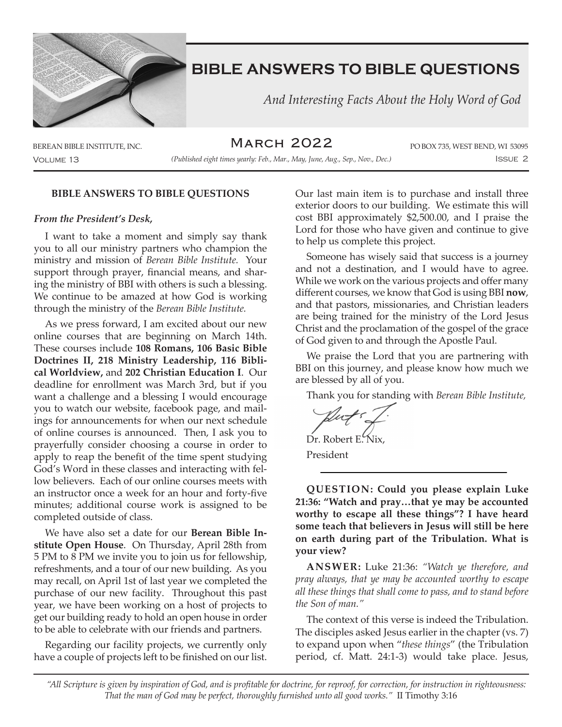

 *And Interesting Facts About the Holy Word of God*

March 2022

Volume 13 Issue 2 *(Published eight times yearly: Feb., Mar., May, June, Aug., Sep., Nov., Dec.)*

BEREAN BIBLE INSTITUTE, INC. **IN ARCH ZOZZ** PO BOX 735, WEST BEND, WI 53095

### **BIBLE ANSWERS TO BIBLE QUESTIONS**

#### *From the President's Desk,*

I want to take a moment and simply say thank you to all our ministry partners who champion the ministry and mission of *Berean Bible Institute.* Your support through prayer, financial means, and sharing the ministry of BBI with others is such a blessing. We continue to be amazed at how God is working through the ministry of the *Berean Bible Institute.*

As we press forward, I am excited about our new online courses that are beginning on March 14th. These courses include **108 Romans, 106 Basic Bible Doctrines II, 218 Ministry Leadership, 116 Biblical Worldview,** and **202 Christian Education I**. Our deadline for enrollment was March 3rd, but if you want a challenge and a blessing I would encourage you to watch our website, facebook page, and mailings for announcements for when our next schedule of online courses is announced. Then, I ask you to prayerfully consider choosing a course in order to apply to reap the benefit of the time spent studying God's Word in these classes and interacting with fellow believers. Each of our online courses meets with an instructor once a week for an hour and forty-five minutes; additional course work is assigned to be completed outside of class.

We have also set a date for our **Berean Bible Institute Open House**. On Thursday, April 28th from 5 PM to 8 PM we invite you to join us for fellowship, refreshments, and a tour of our new building. As you may recall, on April 1st of last year we completed the purchase of our new facility. Throughout this past year, we have been working on a host of projects to get our building ready to hold an open house in order to be able to celebrate with our friends and partners.

Regarding our facility projects, we currently only have a couple of projects left to be finished on our list. Our last main item is to purchase and install three exterior doors to our building. We estimate this will cost BBI approximately \$2,500.00, and I praise the Lord for those who have given and continue to give to help us complete this project.

Someone has wisely said that success is a journey and not a destination, and I would have to agree. While we work on the various projects and offer many different courses, we know that God is using BBI **now**, and that pastors, missionaries, and Christian leaders are being trained for the ministry of the Lord Jesus Christ and the proclamation of the gospel of the grace of God given to and through the Apostle Paul.

We praise the Lord that you are partnering with BBI on this journey, and please know how much we are blessed by all of you.

Thank you for standing with *Berean Bible Institute,*

Dr. Robert E. Nix,

President

**QUESTION: Could you please explain Luke 21:36: "Watch and pray…that ye may be accounted worthy to escape all these things"? I have heard some teach that believers in Jesus will still be here on earth during part of the Tribulation. What is your view?**

**ANSWER:** Luke 21:36: *"Watch ye therefore, and pray always, that ye may be accounted worthy to escape all these things that shall come to pass, and to stand before the Son of man."*

The context of this verse is indeed the Tribulation. The disciples asked Jesus earlier in the chapter (vs. 7) to expand upon when "*these things*" (the Tribulation period, cf. Matt. 24:1-3) would take place. Jesus,

*"All Scripture is given by inspiration of God, and is profitable for doctrine, for reproof, for correction, for instruction in righteousness: That the man of God may be perfect, thoroughly furnished unto all good works."* II Timothy 3:16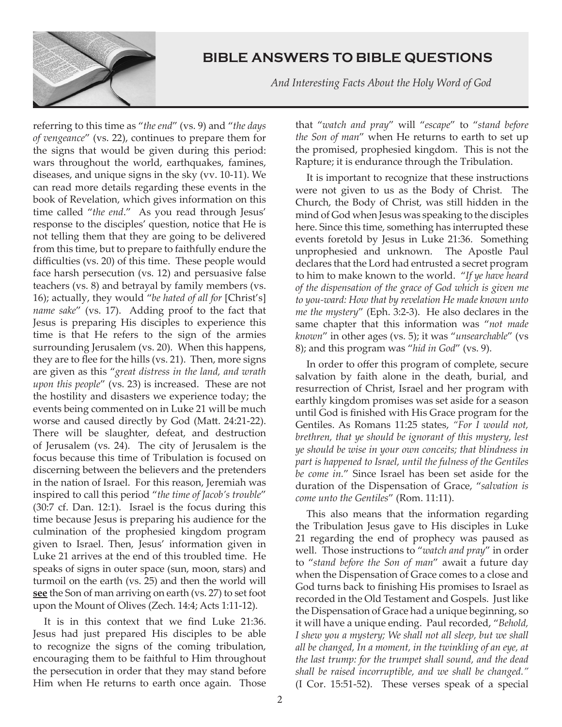

 *And Interesting Facts About the Holy Word of God*

referring to this time as "*the end*" (vs. 9) and "*the days of vengeance*" (vs. 22), continues to prepare them for the signs that would be given during this period: wars throughout the world, earthquakes, famines, diseases, and unique signs in the sky (vv. 10-11). We can read more details regarding these events in the book of Revelation, which gives information on this time called "*the end*." As you read through Jesus' response to the disciples' question, notice that He is not telling them that they are going to be delivered from this time, but to prepare to faithfully endure the difficulties (vs. 20) of this time. These people would face harsh persecution (vs. 12) and persuasive false teachers (vs. 8) and betrayal by family members (vs. 16); actually, they would "*be hated of all for* [Christ's] *name sake*" (vs. 17). Adding proof to the fact that Jesus is preparing His disciples to experience this time is that He refers to the sign of the armies surrounding Jerusalem (vs. 20). When this happens, they are to flee for the hills (vs. 21). Then, more signs are given as this "*great distress in the land, and wrath upon this people*" (vs. 23) is increased. These are not the hostility and disasters we experience today; the events being commented on in Luke 21 will be much worse and caused directly by God (Matt. 24:21-22). There will be slaughter, defeat, and destruction of Jerusalem (vs. 24). The city of Jerusalem is the focus because this time of Tribulation is focused on discerning between the believers and the pretenders in the nation of Israel. For this reason, Jeremiah was inspired to call this period "*the time of Jacob's trouble*" (30:7 cf. Dan. 12:1). Israel is the focus during this time because Jesus is preparing his audience for the culmination of the prophesied kingdom program given to Israel. Then, Jesus' information given in Luke 21 arrives at the end of this troubled time. He speaks of signs in outer space (sun, moon, stars) and turmoil on the earth (vs. 25) and then the world will **see** the Son of man arriving on earth (vs. 27) to set foot upon the Mount of Olives (Zech. 14:4; Acts 1:11-12).

It is in this context that we find Luke 21:36. Jesus had just prepared His disciples to be able to recognize the signs of the coming tribulation, encouraging them to be faithful to Him throughout the persecution in order that they may stand before Him when He returns to earth once again. Those

that "*watch and pray*" will "*escape*" to "*stand before the Son of man*" when He returns to earth to set up the promised, prophesied kingdom. This is not the Rapture; it is endurance through the Tribulation.

It is important to recognize that these instructions were not given to us as the Body of Christ. The Church, the Body of Christ, was still hidden in the mind of God when Jesus was speaking to the disciples here. Since this time, something has interrupted these events foretold by Jesus in Luke 21:36. Something unprophesied and unknown. The Apostle Paul declares that the Lord had entrusted a secret program to him to make known to the world. "*If ye have heard of the dispensation of the grace of God which is given me to you-ward: How that by revelation He made known unto me the mystery*" (Eph. 3:2-3). He also declares in the same chapter that this information was "*not made known*" in other ages (vs. 5); it was "*unsearchable*" (vs 8); and this program was "*hid in God*" (vs. 9).

In order to offer this program of complete, secure salvation by faith alone in the death, burial, and resurrection of Christ, Israel and her program with earthly kingdom promises was set aside for a season until God is finished with His Grace program for the Gentiles. As Romans 11:25 states, *"For I would not, brethren, that ye should be ignorant of this mystery, lest ye should be wise in your own conceits; that blindness in part is happened to Israel, until the fulness of the Gentiles be come in.*" Since Israel has been set aside for the duration of the Dispensation of Grace, "*salvation is come unto the Gentiles*" (Rom. 11:11).

This also means that the information regarding the Tribulation Jesus gave to His disciples in Luke 21 regarding the end of prophecy was paused as well. Those instructions to "*watch and pray*" in order to "*stand before the Son of man*" await a future day when the Dispensation of Grace comes to a close and God turns back to finishing His promises to Israel as recorded in the Old Testament and Gospels. Just like the Dispensation of Grace had a unique beginning, so it will have a unique ending. Paul recorded, "*Behold, I shew you a mystery; We shall not all sleep, but we shall all be changed, In a moment, in the twinkling of an eye, at the last trump: for the trumpet shall sound, and the dead shall be raised incorruptible, and we shall be changed."* (I Cor. 15:51-52). These verses speak of a special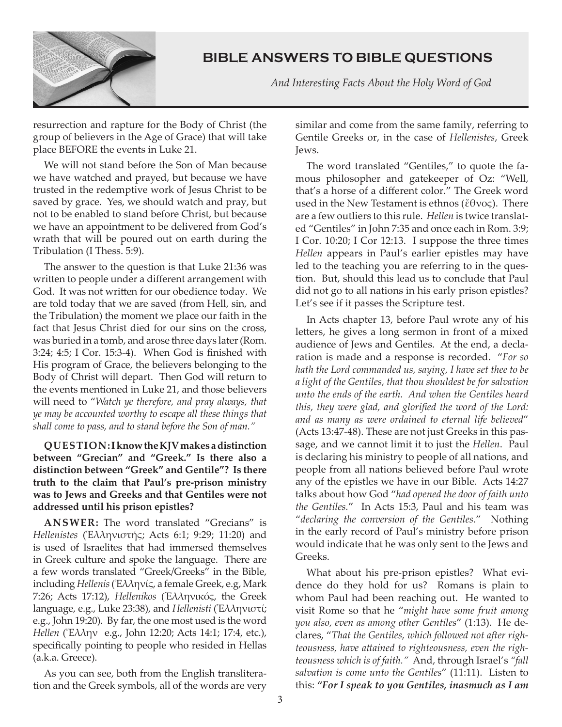

 *And Interesting Facts About the Holy Word of God*

resurrection and rapture for the Body of Christ (the group of believers in the Age of Grace) that will take place BEFORE the events in Luke 21.

We will not stand before the Son of Man because we have watched and prayed, but because we have trusted in the redemptive work of Jesus Christ to be saved by grace. Yes, we should watch and pray, but not to be enabled to stand before Christ, but because we have an appointment to be delivered from God's wrath that will be poured out on earth during the Tribulation (I Thess. 5:9).

The answer to the question is that Luke 21:36 was written to people under a different arrangement with God. It was not written for our obedience today. We are told today that we are saved (from Hell, sin, and the Tribulation) the moment we place our faith in the fact that Jesus Christ died for our sins on the cross, was buried in a tomb, and arose three days later (Rom. 3:24; 4:5; I Cor. 15:3-4). When God is finished with His program of Grace, the believers belonging to the Body of Christ will depart. Then God will return to the events mentioned in Luke 21, and those believers will need to "*Watch ye therefore, and pray always, that ye may be accounted worthy to escape all these things that shall come to pass, and to stand before the Son of man."*

**QUESTION: I know the KJV makes a distinction between "Grecian" and "Greek." Is there also a distinction between "Greek" and Gentile"? Is there truth to the claim that Paul's pre-prison ministry was to Jews and Greeks and that Gentiles were not addressed until his prison epistles?**

**ANSWER:** The word translated "Grecians" is *Hellenistes* (Ἑλληνιστής; Acts 6:1; 9:29; 11:20) and is used of Israelites that had immersed themselves in Greek culture and spoke the language. There are a few words translated "Greek/Greeks" in the Bible, including *Hellenis* (Ἑλληνίς, a female Greek, e.g, Mark 7:26; Acts 17:12), *Hellenikos* (Ἑλληνικός, the Greek language, e.g., Luke 23:38), and *Hellenisti* (Ἑλληνιστί; e.g., John 19:20). By far, the one most used is the word *Hellen* (Ἕλλην e.g., John 12:20; Acts 14:1; 17:4, etc.), specifically pointing to people who resided in Hellas (a.k.a. Greece).

As you can see, both from the English transliteration and the Greek symbols, all of the words are very similar and come from the same family, referring to Gentile Greeks or, in the case of *Hellenistes*, Greek Jews.

The word translated "Gentiles," to quote the famous philosopher and gatekeeper of Oz: "Well, that's a horse of a different color." The Greek word used in the New Testament is ethnos (ἔθνος). There are a few outliers to this rule. *Hellen* is twice translated "Gentiles" in John 7:35 and once each in Rom. 3:9; I Cor. 10:20; I Cor 12:13. I suppose the three times *Hellen* appears in Paul's earlier epistles may have led to the teaching you are referring to in the question. But, should this lead us to conclude that Paul did not go to all nations in his early prison epistles? Let's see if it passes the Scripture test.

In Acts chapter 13, before Paul wrote any of his letters, he gives a long sermon in front of a mixed audience of Jews and Gentiles. At the end, a declaration is made and a response is recorded. "*For so hath the Lord commanded us, saying, I have set thee to be a light of the Gentiles, that thou shouldest be for salvation unto the ends of the earth. And when the Gentiles heard this, they were glad, and glorified the word of the Lord: and as many as were ordained to eternal life believed*" (Acts 13:47-48). These are not just Greeks in this passage, and we cannot limit it to just the *Hellen*. Paul is declaring his ministry to people of all nations, and people from all nations believed before Paul wrote any of the epistles we have in our Bible. Acts 14:27 talks about how God "*had opened the door of faith unto the Gentiles.*" In Acts 15:3, Paul and his team was "*declaring the conversion of the Gentiles*." Nothing in the early record of Paul's ministry before prison would indicate that he was only sent to the Jews and Greeks.

What about his pre-prison epistles? What evidence do they hold for us? Romans is plain to whom Paul had been reaching out. He wanted to visit Rome so that he "*might have some fruit among you also, even as among other Gentiles*" (1:13). He declares, "*That the Gentiles, which followed not after righteousness, have attained to righteousness, even the righteousness which is of faith."* And, through Israel's *"fall salvation is come unto the Gentiles*" (11:11). Listen to this: *"For I speak to you Gentiles, inasmuch as I am*